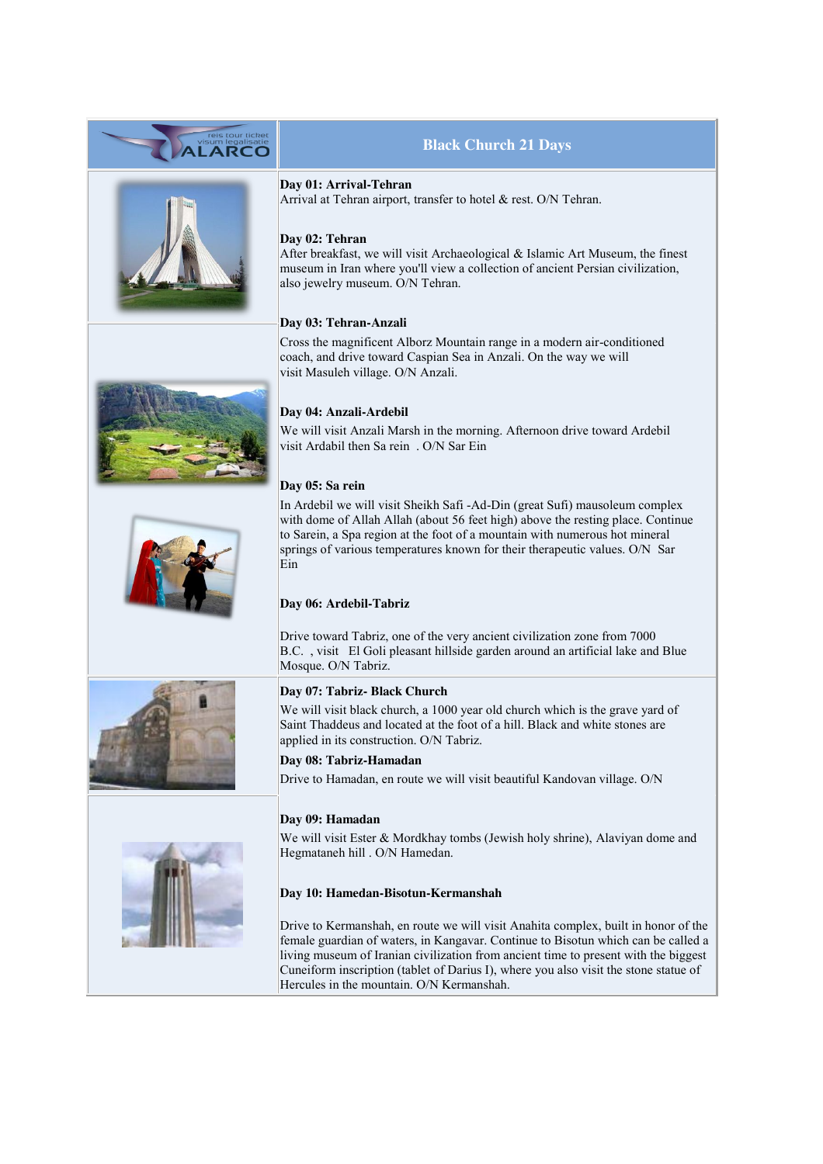

female guardian of waters, in Kangavar. Continue to Bisotun which can be called a living museum of Iranian civilization from ancient time to present with the biggest Cuneiform inscription (tablet of Darius I), where you also visit the stone statue of Hercules in the mountain. O/N Kermanshah.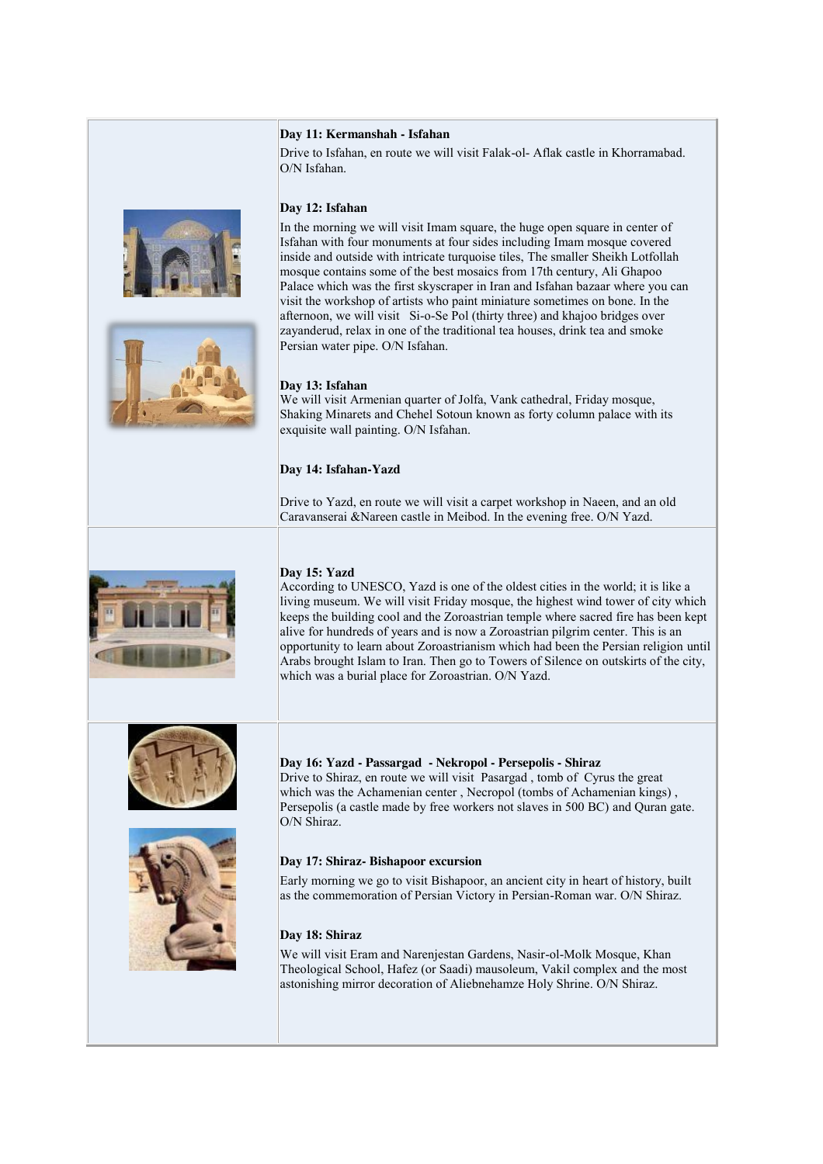#### **Day 11: Kermanshah - Isfahan**

Drive to Isfahan, en route we will visit Falak-ol- Aflak castle in Khorramabad. O/N Isfahan.

## **Day 12: Isfahan**

In the morning we will visit Imam square, the huge open square in center of Isfahan with four monuments at four sides including Imam mosque covered inside and outside with intricate turquoise tiles, The smaller Sheikh Lotfollah mosque contains some of the best mosaics from 17th century, Ali Ghapoo Palace which was the first skyscraper in Iran and Isfahan bazaar where you can visit the workshop of artists who paint miniature sometimes on bone. In the afternoon, we will visit Si-o-Se Pol (thirty three) and khajoo bridges over zayanderud, relax in one of the traditional tea houses, drink tea and smoke Persian water pipe. O/N Isfahan.

## **Day 13: Isfahan**

We will visit Armenian quarter of Jolfa, Vank cathedral, Friday mosque, Shaking Minarets and Chehel Sotoun known as forty column palace with its exquisite wall painting. O/N Isfahan.

## **Day 14: Isfahan-Yazd**

Drive to Yazd, en route we will visit a carpet workshop in Naeen, and an old Caravanserai &Nareen castle in Meibod. In the evening free. O/N Yazd.



# **Day 15: Yazd**

According to UNESCO, Yazd is one of the oldest cities in the world; it is like a living museum. We will visit Friday mosque, the highest wind tower of city which keeps the building cool and the Zoroastrian temple where sacred fire has been kept alive for hundreds of years and is now a Zoroastrian pilgrim center. This is an opportunity to learn about Zoroastrianism which had been the Persian religion until Arabs brought Islam to Iran. Then go to Towers of Silence on outskirts of the city, which was a burial place for Zoroastrian. O/N Yazd.





**Day 16: Yazd - Passargad - Nekropol - Persepolis - Shiraz** Drive to Shiraz, en route we will visit Pasargad , tomb of Cyrus the great which was the Achamenian center , Necropol (tombs of Achamenian kings) , Persepolis (a castle made by free workers not slaves in 500 BC) and Quran gate. O/N Shiraz.

## **Day 17: Shiraz- Bishapoor excursion**

Early morning we go to visit Bishapoor, an ancient city in heart of history, built as the commemoration of Persian Victory in Persian-Roman war. O/N Shiraz.

## **Day 18: Shiraz**

We will visit Eram and Narenjestan Gardens, Nasir-ol-Molk Mosque, Khan Theological School, Hafez (or Saadi) mausoleum, Vakil complex and the most astonishing mirror decoration of Aliebnehamze Holy Shrine. O/N Shiraz.